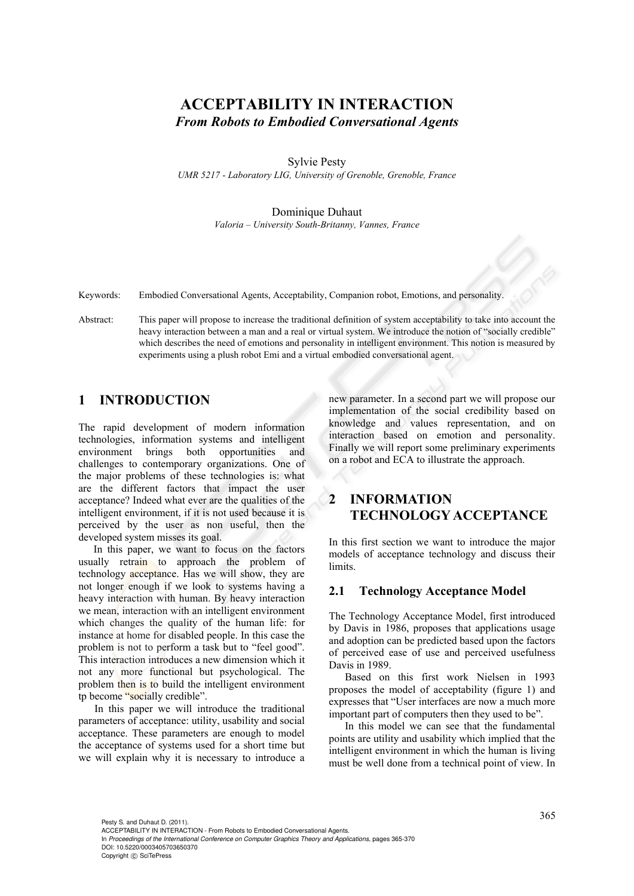# **ACCEPTABILITY IN INTERACTION**  *From Robots to Embodied Conversational Agents*

Sylvie Pesty

*UMR 5217 - Laboratory LIG, University of Grenoble, Grenoble, France* 

#### Dominique Duhaut *Valoria – University South-Britanny, Vannes, France*

Keywords: Embodied Conversational Agents, Acceptability, Companion robot, Emotions, and personality.

Abstract: This paper will propose to increase the traditional definition of system acceptability to take into account the heavy interaction between a man and a real or virtual system. We introduce the notion of "socially credible" which describes the need of emotions and personality in intelligent environment. This notion is measured by experiments using a plush robot Emi and a virtual embodied conversational agent.

## **1 INTRODUCTION**

The rapid development of modern information technologies, information systems and intelligent environment brings both opportunities and challenges to contemporary organizations. One of the major problems of these technologies is: what are the different factors that impact the user acceptance? Indeed what ever are the qualities of the intelligent environment, if it is not used because it is perceived by the user as non useful, then the developed system misses its goal.

In this paper, we want to focus on the factors usually retrain to approach the problem of technology acceptance. Has we will show, they are not longer enough if we look to systems having a heavy interaction with human. By heavy interaction we mean, interaction with an intelligent environment which changes the quality of the human life: for instance at home for disabled people. In this case the problem is not to perform a task but to "feel good". This interaction introduces a new dimension which it not any more functional but psychological. The problem then is to build the intelligent environment tp become "socially credible".

In this paper we will introduce the traditional parameters of acceptance: utility, usability and social acceptance. These parameters are enough to model the acceptance of systems used for a short time but we will explain why it is necessary to introduce a

new parameter. In a second part we will propose our implementation of the social credibility based on knowledge and values representation, and on interaction based on emotion and personality. Finally we will report some preliminary experiments on a robot and ECA to illustrate the approach.

## **2 INFORMATION TECHNOLOGY ACCEPTANCE**

In this first section we want to introduce the major models of acceptance technology and discuss their limits.

### **2.1 Technology Acceptance Model**

The Technology Acceptance Model, first introduced by Davis in 1986, proposes that applications usage and adoption can be predicted based upon the factors of perceived ease of use and perceived usefulness Davis in 1989.

Based on this first work Nielsen in 1993 proposes the model of acceptability (figure 1) and expresses that "User interfaces are now a much more important part of computers then they used to be".

In this model we can see that the fundamental points are utility and usability which implied that the intelligent environment in which the human is living must be well done from a technical point of view. In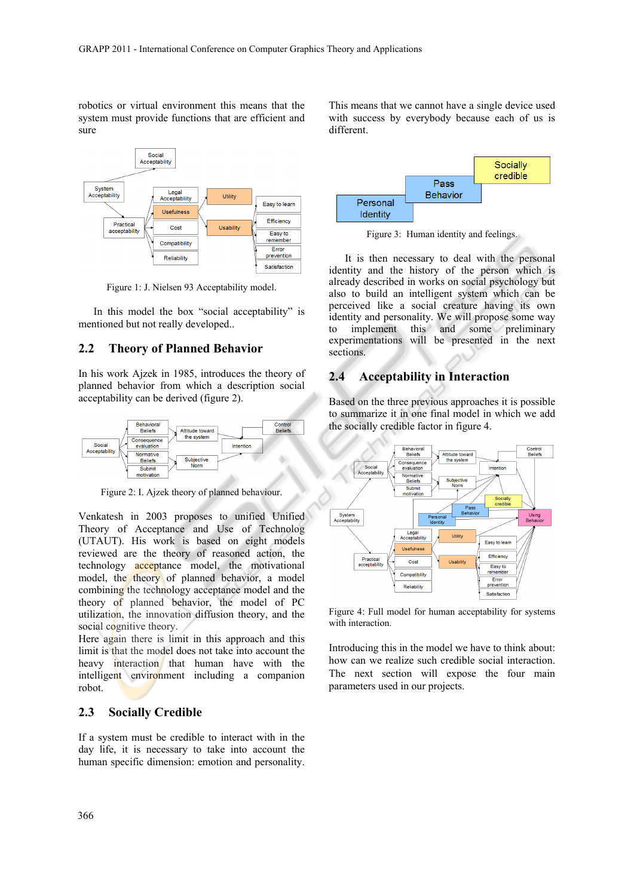robotics or virtual environment this means that the system must provide functions that are efficient and sure



Figure 1: J. Nielsen 93 Acceptability model.

In this model the box "social acceptability" is mentioned but not really developed..

### **2.2 Theory of Planned Behavior**

In his work Ajzek in 1985, introduces the theory of planned behavior from which a description social acceptability can be derived (figure 2).



Figure 2: I. Ajzek theory of planned behaviour.

Venkatesh in 2003 proposes to unified Unified Theory of Acceptance and Use of Technolog (UTAUT). His work is based on eight models reviewed are the theory of reasoned action, the technology acceptance model, the motivational model, the theory of planned behavior, a model combining the technology acceptance model and the theory of planned behavior, the model of PC utilization, the innovation diffusion theory, and the social cognitive theory.

Here again there is limit in this approach and this limit is that the model does not take into account the heavy interaction that human have with the intelligent environment including a companion robot.

#### **2.3 Socially Credible**

If a system must be credible to interact with in the day life, it is necessary to take into account the human specific dimension: emotion and personality.

This means that we cannot have a single device used with success by everybody because each of us is different.



Figure 3: Human identity and feelings.

It is then necessary to deal with the personal identity and the history of the person which is already described in works on social psychology but also to build an intelligent system which can be perceived like a social creature having its own identity and personality. We will propose some way to implement this and some preliminary experimentations will be presented in the next sections.

### **2.4 Acceptability in Interaction**

Based on the three previous approaches it is possible to summarize it in one final model in which we add the socially credible factor in figure 4.



Figure 4: Full model for human acceptability for systems with interaction.

Introducing this in the model we have to think about: how can we realize such credible social interaction. The next section will expose the four main parameters used in our projects.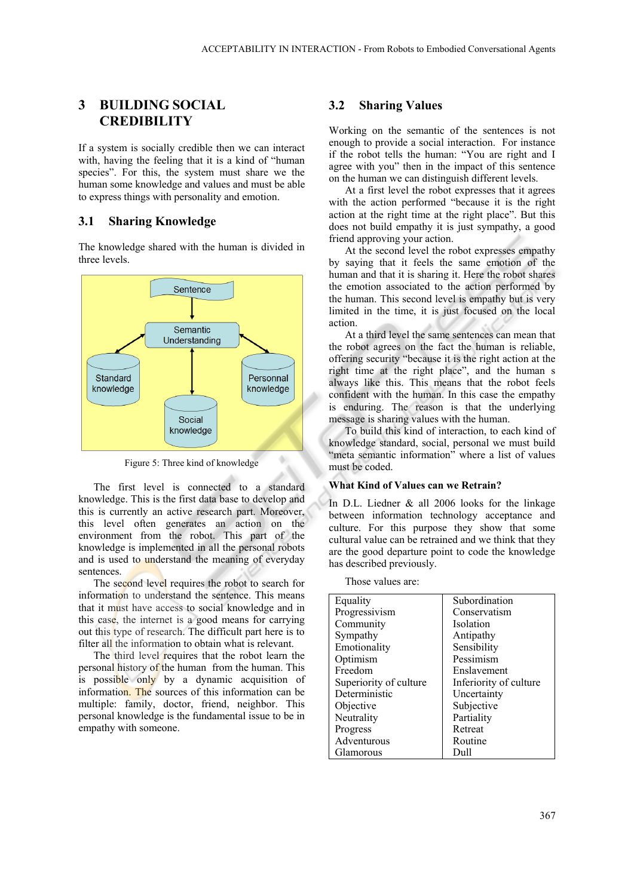## **3 BUILDING SOCIAL CREDIBILITY**

If a system is socially credible then we can interact with, having the feeling that it is a kind of "human species". For this, the system must share we the human some knowledge and values and must be able to express things with personality and emotion.

### **3.1 Sharing Knowledge**

The knowledge shared with the human is divided in three levels.



Figure 5: Three kind of knowledge

The first level is connected to a standard knowledge. This is the first data base to develop and this is currently an active research part. Moreover, this level often generates an action on the environment from the robot. This part of the knowledge is implemented in all the personal robots and is used to understand the meaning of everyday sentences.

The second level requires the robot to search for information to understand the sentence. This means that it must have access to social knowledge and in this case, the internet is a good means for carrying out this type of research. The difficult part here is to filter all the information to obtain what is relevant.

The third level requires that the robot learn the personal history of the human from the human. This is possible only by a dynamic acquisition of information. The sources of this information can be multiple: family, doctor, friend, neighbor. This personal knowledge is the fundamental issue to be in empathy with someone.

#### **3.2 Sharing Values**

Working on the semantic of the sentences is not enough to provide a social interaction. For instance if the robot tells the human: "You are right and I agree with you" then in the impact of this sentence on the human we can distinguish different levels.

At a first level the robot expresses that it agrees with the action performed "because it is the right action at the right time at the right place". But this does not build empathy it is just sympathy, a good friend approving your action.

At the second level the robot expresses empathy by saying that it feels the same emotion of the human and that it is sharing it. Here the robot shares the emotion associated to the action performed by the human. This second level is empathy but is very limited in the time, it is just focused on the local action.

At a third level the same sentences can mean that the robot agrees on the fact the human is reliable, offering security "because it is the right action at the right time at the right place", and the human s always like this. This means that the robot feels confident with the human. In this case the empathy is enduring. The reason is that the underlying message is sharing values with the human.

To build this kind of interaction, to each kind of knowledge standard, social, personal we must build "meta semantic information" where a list of values must be coded.

#### **What Kind of Values can we Retrain?**

In D.L. Liedner & all 2006 looks for the linkage between information technology acceptance and culture. For this purpose they show that some cultural value can be retrained and we think that they are the good departure point to code the knowledge has described previously.

Those values are:

| Equality               | Subordination          |
|------------------------|------------------------|
| Progressivism          | Conservatism           |
| Community              | <b>Isolation</b>       |
| Sympathy               | Antipathy              |
| Emotionality           | Sensibility            |
| Optimism               | Pessimism              |
| Freedom                | Enslavement            |
| Superiority of culture | Inferiority of culture |
| Deterministic          | Uncertainty            |
| Objective              | Subjective             |
| Neutrality             | Partiality             |
| Progress               | Retreat                |
| Adventurous            | Routine                |
| Glamorous              | Dull                   |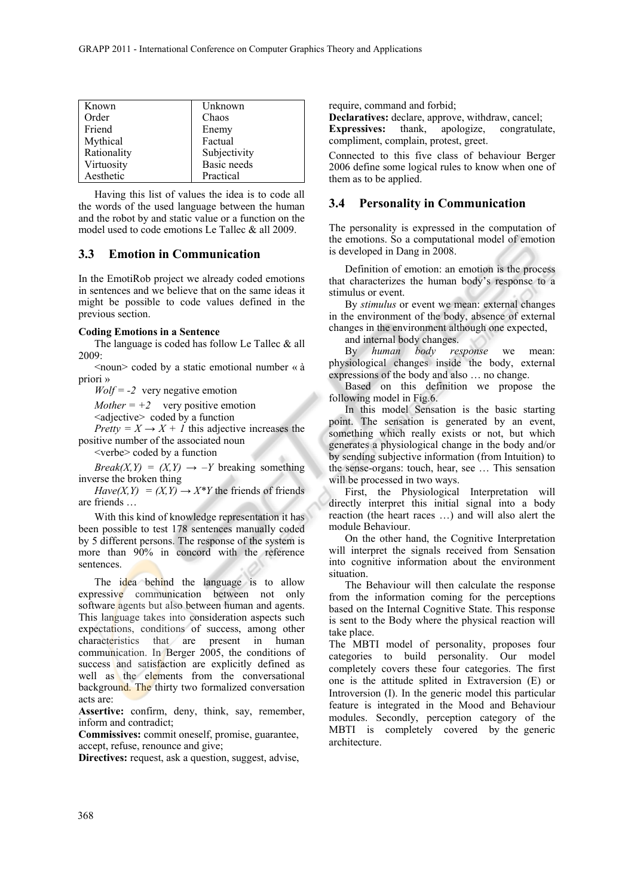| Known       | Unknown      |
|-------------|--------------|
| Order       | Chaos        |
| Friend      | Enemy        |
| Mythical    | Factual      |
| Rationality | Subjectivity |
| Virtuosity  | Basic needs  |
| Aesthetic   | Practical    |

Having this list of values the idea is to code all the words of the used language between the human and the robot by and static value or a function on the model used to code emotions Le Tallec & all 2009.

### **3.3 Emotion in Communication**

In the EmotiRob project we already coded emotions in sentences and we believe that on the same ideas it might be possible to code values defined in the previous section.

#### **Coding Emotions in a Sentence**

The language is coded has follow Le Tallec & all 2009:

 $\le$ noun $\ge$  coded by a static emotional number « à priori »

 $Wolf = -2$  very negative emotion

*Mother* =  $+2$  very positive emotion

<adjective> coded by a function

*Pretty =*  $X \rightarrow X + I$  this adjective increases the positive number of the associated noun

<verbe> coded by a function

*Break(X,Y)* =  $(X, Y) \rightarrow -Y$  breaking something inverse the broken thing

 $Have(X, Y) = (X, Y) \rightarrow X^*Y$  the friends of friends are friends …

With this kind of knowledge representation it has been possible to test 178 sentences manually coded by 5 different persons. The response of the system is more than 90% in concord with the reference sentences.

The idea behind the language is to allow expressive communication between not only software agents but also between human and agents. This language takes into consideration aspects such expectations, conditions of success, among other characteristics that are present in human communication. In Berger 2005, the conditions of success and satisfaction are explicitly defined as well as the elements from the conversational background. The thirty two formalized conversation acts are:

**Assertive:** confirm, deny, think, say, remember, inform and contradict;

**Commissives:** commit oneself, promise, guarantee, accept, refuse, renounce and give;

**Directives:** request, ask a question, suggest, advise,

require, command and forbid;

**Declaratives:** declare, approve, withdraw, cancel; **Expressives:** thank, apologize, congratulate, compliment, complain, protest, greet.

Connected to this five class of behaviour Berger 2006 define some logical rules to know when one of them as to be applied.

### **3.4 Personality in Communication**

The personality is expressed in the computation of the emotions. So a computational model of emotion is developed in Dang in 2008.

Definition of emotion: an emotion is the process that characterizes the human body's response to a stimulus or event.

By *stimulus* or event we mean: external changes in the environment of the body, absence of external changes in the environment although one expected,

and internal body changes.

By *human body response* we mean: physiological changes inside the body, external expressions of the body and also … no change.

Based on this definition we propose the following model in Fig.6.

In this model Sensation is the basic starting point. The sensation is generated by an event, something which really exists or not, but which generates a physiological change in the body and/or by sending subjective information (from Intuition) to the sense-organs: touch, hear, see … This sensation will be processed in two ways.

First, the Physiological Interpretation will directly interpret this initial signal into a body reaction (the heart races …) and will also alert the module Behaviour.

On the other hand, the Cognitive Interpretation will interpret the signals received from Sensation into cognitive information about the environment situation.

The Behaviour will then calculate the response from the information coming for the perceptions based on the Internal Cognitive State. This response is sent to the Body where the physical reaction will take place.

The MBTI model of personality, proposes four categories to build personality. Our model completely covers these four categories. The first one is the attitude splited in Extraversion (E) or Introversion (I). In the generic model this particular feature is integrated in the Mood and Behaviour modules. Secondly, perception category of the MBTI is completely covered by the generic architecture.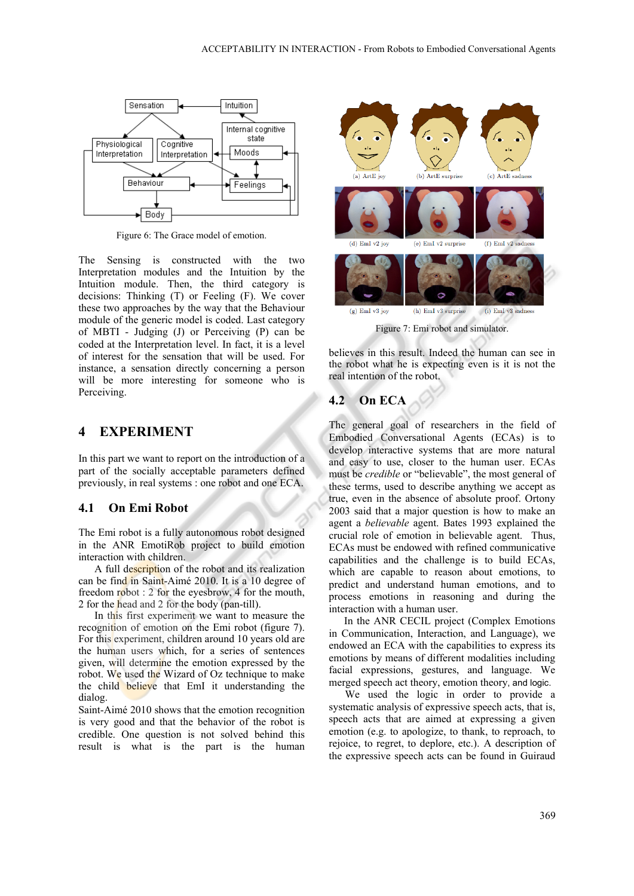

Figure 6: The Grace model of emotion.

The Sensing is constructed with the two Interpretation modules and the Intuition by the Intuition module. Then, the third category is decisions: Thinking (T) or Feeling (F). We cover these two approaches by the way that the Behaviour module of the generic model is coded. Last category of MBTI - Judging (J) or Perceiving (P) can be coded at the Interpretation level. In fact, it is a level of interest for the sensation that will be used. For instance, a sensation directly concerning a person will be more interesting for someone who is Perceiving.

### **4 EXPERIMENT**

In this part we want to report on the introduction of a part of the socially acceptable parameters defined previously, in real systems : one robot and one ECA.

### **4.1 On Emi Robot**

The Emi robot is a fully autonomous robot designed in the ANR EmotiRob project to build emotion interaction with children.

A full description of the robot and its realization can be find in Saint-Aimé 2010. It is a 10 degree of freedom robot : 2 for the eyesbrow, 4 for the mouth, 2 for the head and 2 for the body (pan-till).

In this first experiment we want to measure the recognition of emotion on the Emi robot (figure 7). For this experiment, children around 10 years old are the human users which, for a series of sentences given, will determine the emotion expressed by the robot. We used the Wizard of Oz technique to make the child believe that EmI it understanding the dialog.

Saint-Aimé 2010 shows that the emotion recognition is very good and that the behavior of the robot is credible. One question is not solved behind this result is what is the part is the human



Figure 7: Emi robot and simulator.

believes in this result. Indeed the human can see in the robot what he is expecting even is it is not the real intention of the robot.

## **4.2 On ECA**

The general goal of researchers in the field of Embodied Conversational Agents (ECAs) is to develop interactive systems that are more natural and easy to use, closer to the human user. ECAs must be *credible* or "believable", the most general of these terms, used to describe anything we accept as true, even in the absence of absolute proof. Ortony 2003 said that a major question is how to make an agent a *believable* agent. Bates 1993 explained the crucial role of emotion in believable agent. Thus, ECAs must be endowed with refined communicative capabilities and the challenge is to build ECAs, which are capable to reason about emotions, to predict and understand human emotions, and to process emotions in reasoning and during the interaction with a human user.

In the ANR CECIL project (Complex Emotions in Communication, Interaction, and Language), we endowed an ECA with the capabilities to express its emotions by means of different modalities including facial expressions, gestures, and language. We merged speech act theory, emotion theory, and logic.

We used the logic in order to provide a systematic analysis of expressive speech acts, that is, speech acts that are aimed at expressing a given emotion (e.g. to apologize, to thank, to reproach, to rejoice, to regret, to deplore, etc.). A description of the expressive speech acts can be found in Guiraud